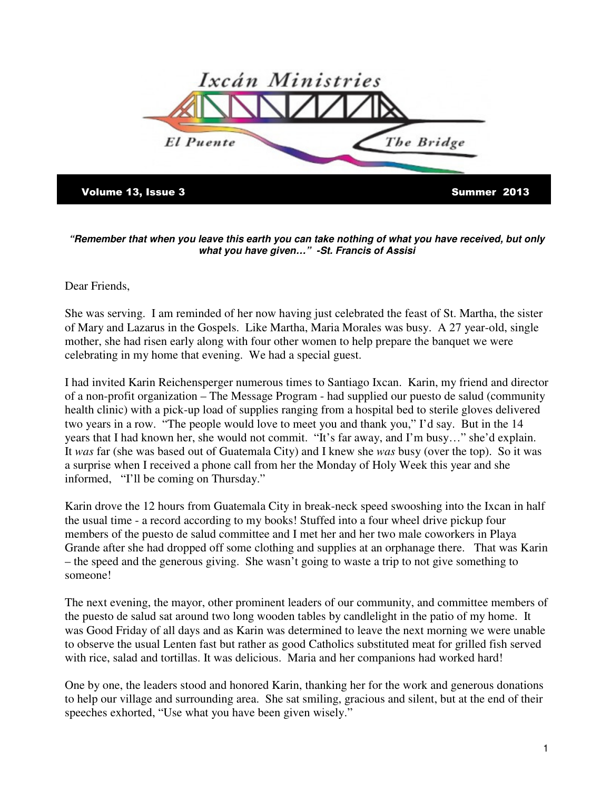

**"Remember that when you leave this earth you can take nothing of what you have received, but only what you have given…" -St. Francis of Assisi** 

## Dear Friends,

She was serving. I am reminded of her now having just celebrated the feast of St. Martha, the sister of Mary and Lazarus in the Gospels. Like Martha, Maria Morales was busy. A 27 year-old, single mother, she had risen early along with four other women to help prepare the banquet we were celebrating in my home that evening. We had a special guest.

I had invited Karin Reichensperger numerous times to Santiago Ixcan. Karin, my friend and director of a non-profit organization – The Message Program - had supplied our puesto de salud (community health clinic) with a pick-up load of supplies ranging from a hospital bed to sterile gloves delivered two years in a row. "The people would love to meet you and thank you," I'd say. But in the 14 years that I had known her, she would not commit. "It's far away, and I'm busy…" she'd explain. It *was* far (she was based out of Guatemala City) and I knew she *was* busy (over the top). So it was a surprise when I received a phone call from her the Monday of Holy Week this year and she informed, "I'll be coming on Thursday."

Karin drove the 12 hours from Guatemala City in break-neck speed swooshing into the Ixcan in half the usual time - a record according to my books! Stuffed into a four wheel drive pickup four members of the puesto de salud committee and I met her and her two male coworkers in Playa Grande after she had dropped off some clothing and supplies at an orphanage there. That was Karin – the speed and the generous giving. She wasn't going to waste a trip to not give something to someone!

The next evening, the mayor, other prominent leaders of our community, and committee members of the puesto de salud sat around two long wooden tables by candlelight in the patio of my home. It was Good Friday of all days and as Karin was determined to leave the next morning we were unable to observe the usual Lenten fast but rather as good Catholics substituted meat for grilled fish served with rice, salad and tortillas. It was delicious. Maria and her companions had worked hard!

One by one, the leaders stood and honored Karin, thanking her for the work and generous donations to help our village and surrounding area. She sat smiling, gracious and silent, but at the end of their speeches exhorted, "Use what you have been given wisely."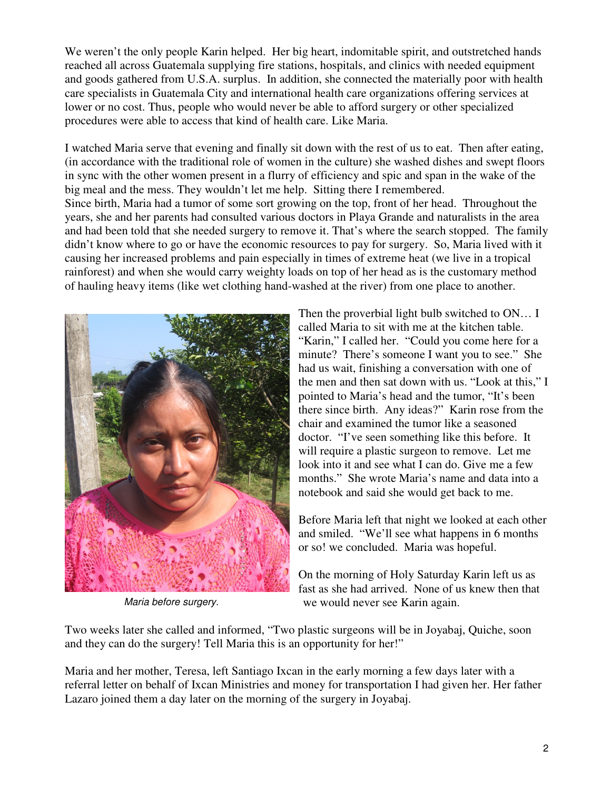We weren't the only people Karin helped. Her big heart, indomitable spirit, and outstretched hands reached all across Guatemala supplying fire stations, hospitals, and clinics with needed equipment and goods gathered from U.S.A. surplus. In addition, she connected the materially poor with health care specialists in Guatemala City and international health care organizations offering services at lower or no cost. Thus, people who would never be able to afford surgery or other specialized procedures were able to access that kind of health care. Like Maria.

I watched Maria serve that evening and finally sit down with the rest of us to eat. Then after eating, (in accordance with the traditional role of women in the culture) she washed dishes and swept floors in sync with the other women present in a flurry of efficiency and spic and span in the wake of the big meal and the mess. They wouldn't let me help. Sitting there I remembered. Since birth, Maria had a tumor of some sort growing on the top, front of her head. Throughout the years, she and her parents had consulted various doctors in Playa Grande and naturalists in the area and had been told that she needed surgery to remove it. That's where the search stopped. The family didn't know where to go or have the economic resources to pay for surgery. So, Maria lived with it causing her increased problems and pain especially in times of extreme heat (we live in a tropical rainforest) and when she would carry weighty loads on top of her head as is the customary method of hauling heavy items (like wet clothing hand-washed at the river) from one place to another.



Maria before surgery.

Then the proverbial light bulb switched to ON... I called Maria to sit with me at the kitchen table. "Karin," I called her. "Could you come here for a minute? There's someone I want you to see." She had us wait, finishing a conversation with one of the men and then sat down with us. "Look at this," I pointed to Maria's head and the tumor, "It's been there since birth. Any ideas?" Karin rose from the chair and examined the tumor like a seasoned doctor. "I've seen something like this before. It will require a plastic surgeon to remove. Let me look into it and see what I can do. Give me a few months." She wrote Maria's name and data into a notebook and said she would get back to me.

Before Maria left that night we looked at each other and smiled. "We'll see what happens in 6 months or so! we concluded. Maria was hopeful.

On the morning of Holy Saturday Karin left us as fast as she had arrived. None of us knew then that we would never see Karin again.

Two weeks later she called and informed, "Two plastic surgeons will be in Joyabaj, Quiche, soon and they can do the surgery! Tell Maria this is an opportunity for her!"

Maria and her mother, Teresa, left Santiago Ixcan in the early morning a few days later with a referral letter on behalf of Ixcan Ministries and money for transportation I had given her. Her father Lazaro joined them a day later on the morning of the surgery in Joyabaj.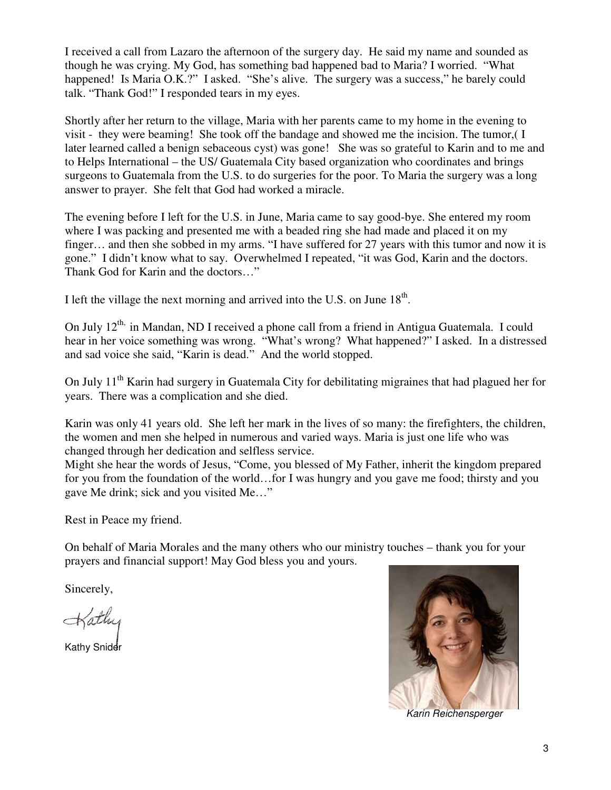I received a call from Lazaro the afternoon of the surgery day. He said my name and sounded as though he was crying. My God, has something bad happened bad to Maria? I worried. "What happened! Is Maria O.K.?" I asked. "She's alive. The surgery was a success," he barely could talk. "Thank God!" I responded tears in my eyes.

Shortly after her return to the village, Maria with her parents came to my home in the evening to visit - they were beaming! She took off the bandage and showed me the incision. The tumor,( I later learned called a benign sebaceous cyst) was gone! She was so grateful to Karin and to me and to Helps International – the US/ Guatemala City based organization who coordinates and brings surgeons to Guatemala from the U.S. to do surgeries for the poor. To Maria the surgery was a long answer to prayer. She felt that God had worked a miracle.

The evening before I left for the U.S. in June, Maria came to say good-bye. She entered my room where I was packing and presented me with a beaded ring she had made and placed it on my finger… and then she sobbed in my arms. "I have suffered for 27 years with this tumor and now it is gone." I didn't know what to say. Overwhelmed I repeated, "it was God, Karin and the doctors. Thank God for Karin and the doctors…"

I left the village the next morning and arrived into the U.S. on June  $18<sup>th</sup>$ .

On July 12<sup>th,</sup> in Mandan, ND I received a phone call from a friend in Antigua Guatemala. I could hear in her voice something was wrong. "What's wrong? What happened?" I asked. In a distressed and sad voice she said, "Karin is dead." And the world stopped.

On July 11<sup>th</sup> Karin had surgery in Guatemala City for debilitating migraines that had plagued her for years. There was a complication and she died.

Karin was only 41 years old. She left her mark in the lives of so many: the firefighters, the children, the women and men she helped in numerous and varied ways. Maria is just one life who was changed through her dedication and selfless service.

Might she hear the words of Jesus, "Come, you blessed of My Father, inherit the kingdom prepared for you from the foundation of the world…for I was hungry and you gave me food; thirsty and you gave Me drink; sick and you visited Me…"

Rest in Peace my friend.

On behalf of Maria Morales and the many others who our ministry touches – thank you for your prayers and financial support! May God bless you and yours.

Sincerely,

Kathy Snider



Karin Reichensperger